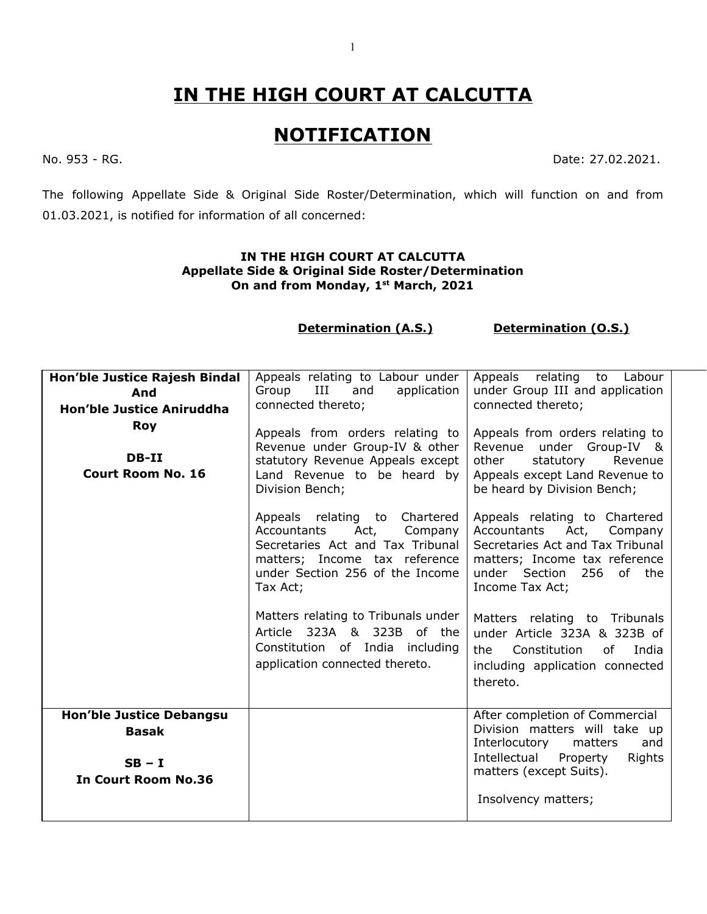## **IN THE HIGH COURT AT CALCUTTA**

## **NOTIFICATION**

No. 953 - RG. Date: 27.02.2021.

The following Appellate Side & Original Side Roster/Determination, which will function on and from 01.03.2021, is notified for information of all concerned:

## **IN THE HIGH COURT AT CALCUTTA Appellate Side & Original Side Roster/Determination On and from Monday, 1 st March, 2021**

**Determination (A.S.) Determination (O.S.)**

| Hon'ble Justice Rajesh Bindal<br>And<br><b>Hon'ble Justice Aniruddha</b><br><b>Roy</b><br>DB-II<br><b>Court Room No. 16</b> | Appeals relating to Labour under<br>Group<br>Ш<br>and<br>application<br>connected thereto;<br>Appeals from orders relating to<br>Revenue under Group-IV & other<br>statutory Revenue Appeals except<br>Land Revenue to be heard by<br>Division Bench; | Appeals relating to<br>Labour<br>under Group III and application<br>connected thereto;<br>Appeals from orders relating to<br>Revenue under Group-IV &<br>statutory<br>other<br>Revenue<br>Appeals except Land Revenue to<br>be heard by Division Bench; |
|-----------------------------------------------------------------------------------------------------------------------------|-------------------------------------------------------------------------------------------------------------------------------------------------------------------------------------------------------------------------------------------------------|---------------------------------------------------------------------------------------------------------------------------------------------------------------------------------------------------------------------------------------------------------|
|                                                                                                                             | Appeals relating to Chartered<br>Act,<br>Accountants<br>Company<br>Secretaries Act and Tax Tribunal<br>matters; Income tax reference<br>under Section 256 of the Income<br>Tax Act;                                                                   | Appeals relating to Chartered<br>Accountants Act, Company<br>Secretaries Act and Tax Tribunal<br>matters; Income tax reference<br>under Section<br>256 of the<br>Income Tax Act;                                                                        |
|                                                                                                                             | Matters relating to Tribunals under<br>Article 323A & 323B of the<br>Constitution of India including<br>application connected thereto.                                                                                                                | Matters relating to Tribunals<br>under Article 323A & 323B of<br>Constitution<br>the<br>of<br>India<br>including application connected<br>thereto.                                                                                                      |
| <b>Hon'ble Justice Debangsu</b><br><b>Basak</b><br>$SB - I$<br><b>In Court Room No.36</b>                                   |                                                                                                                                                                                                                                                       | After completion of Commercial<br>Division matters will take up<br>Interlocutory<br>matters<br>and<br>Intellectual Property<br>Rights<br>matters (except Suits).<br>Insolvency matters;                                                                 |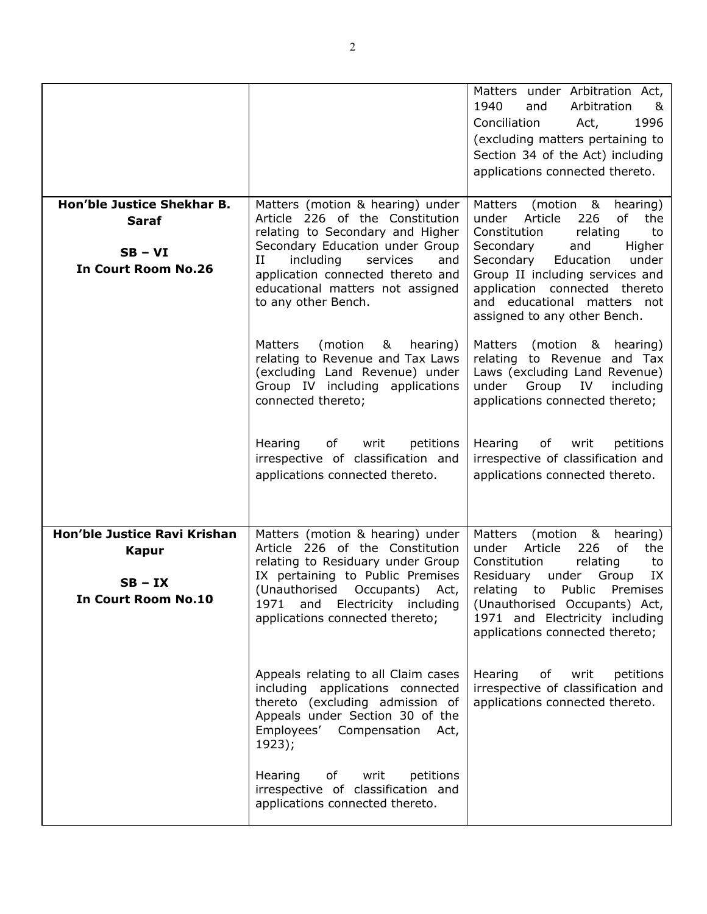|                                                                                       |                                                                                                                                                                                                                                                                                 | Matters under Arbitration Act,<br>1940<br>Arbitration<br>and<br>&<br>1996<br>Conciliation<br>Act,<br>(excluding matters pertaining to<br>Section 34 of the Act) including<br>applications connected thereto.                                                                                                |
|---------------------------------------------------------------------------------------|---------------------------------------------------------------------------------------------------------------------------------------------------------------------------------------------------------------------------------------------------------------------------------|-------------------------------------------------------------------------------------------------------------------------------------------------------------------------------------------------------------------------------------------------------------------------------------------------------------|
| Hon'ble Justice Shekhar B.<br><b>Saraf</b><br>$SB - VI$<br><b>In Court Room No.26</b> | Matters (motion & hearing) under<br>Article 226 of the Constitution<br>relating to Secondary and Higher<br>Secondary Education under Group<br>including<br>services<br>П<br>and<br>application connected thereto and<br>educational matters not assigned<br>to any other Bench. | Matters<br>(motion &<br>hearing)<br>under Article<br>226<br>of<br>the<br>Constitution<br>relating<br>to<br>and<br>Higher<br>Secondary<br>Education<br>under<br>Secondary<br>Group II including services and<br>application connected thereto<br>and educational matters not<br>assigned to any other Bench. |
|                                                                                       | <b>Matters</b><br>(motion<br>&<br>hearing)<br>relating to Revenue and Tax Laws<br>(excluding Land Revenue) under<br>Group IV including applications<br>connected thereto;                                                                                                       | <b>Matters</b><br>(motion & hearing)<br>relating to Revenue<br>and Tax<br>Laws (excluding Land Revenue)<br>Group<br>under<br>IV<br>including<br>applications connected thereto;                                                                                                                             |
|                                                                                       | Hearing<br>of<br>writ<br>petitions<br>irrespective of classification and<br>applications connected thereto.                                                                                                                                                                     | Hearing<br>of<br>writ<br>petitions<br>irrespective of classification and<br>applications connected thereto.                                                                                                                                                                                                 |
| Hon'ble Justice Ravi Krishan<br>Kapur<br>$SB - IX$<br><b>In Court Room No.10</b>      | Matters (motion & hearing) under<br>Article 226 of the Constitution<br>relating to Residuary under Group<br>IX pertaining to Public Premises<br>(Unauthorised Occupants)<br>Act,<br>and Electricity including<br>1971<br>applications connected thereto;                        | Matters<br>(motion &<br>hearing)<br>Article<br>226<br>of<br>under<br>the<br>Constitution<br>relating<br>to<br>Residuary<br>under<br>Group<br>IX<br>relating<br>to<br>Public<br>Premises<br>(Unauthorised Occupants) Act,<br>1971 and Electricity including<br>applications connected thereto;               |
|                                                                                       | Appeals relating to all Claim cases<br>including applications connected<br>thereto (excluding admission of<br>Appeals under Section 30 of the<br>Employees' Compensation<br>Act,<br>1923);                                                                                      | Hearing<br>of<br>writ<br>petitions<br>irrespective of classification and<br>applications connected thereto.                                                                                                                                                                                                 |
|                                                                                       | of<br>writ<br>petitions<br>Hearing<br>irrespective of classification and<br>applications connected thereto.                                                                                                                                                                     |                                                                                                                                                                                                                                                                                                             |